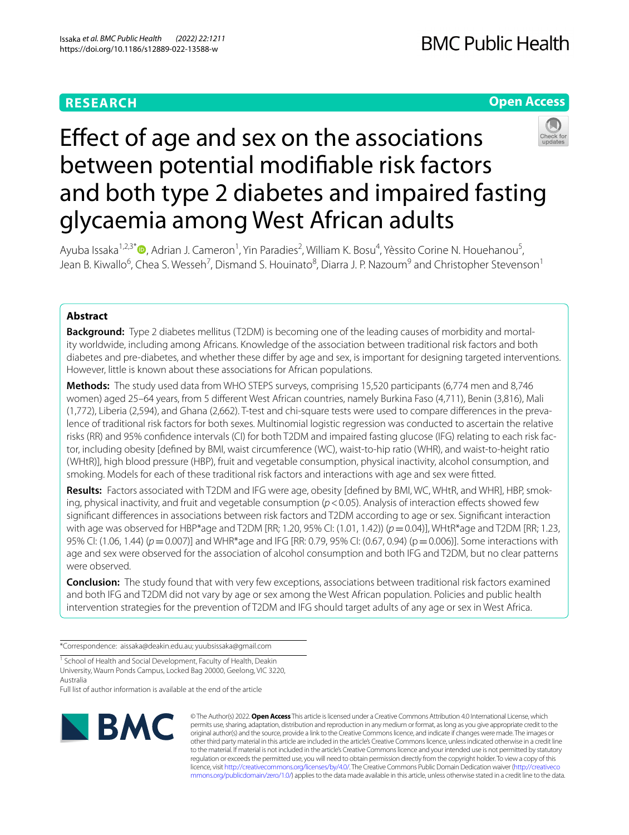# **RESEARCH**

# **Open Access**



# Efect of age and sex on the associations between potential modifable risk factors and both type 2 diabetes and impaired fasting glycaemia among West African adults

Ayuba Issaka<sup>1,2,3[\\*](http://orcid.org/0000-0002-1022-3633)</sup> (D, Adrian J. Cameron<sup>1</sup>, Yin Paradies<sup>2</sup>, William K. Bosu<sup>4</sup>, Yèssito Corine N. Houehanou<sup>5</sup>, Jean B. Kiwallo<sup>6</sup>, Chea S. Wesseh<sup>7</sup>, Dismand S. Houinato<sup>8</sup>, Diarra J. P. Nazoum<sup>9</sup> and Christopher Stevenson<sup>1</sup>

# **Abstract**

**Background:** Type 2 diabetes mellitus (T2DM) is becoming one of the leading causes of morbidity and mortality worldwide, including among Africans. Knowledge of the association between traditional risk factors and both diabetes and pre-diabetes, and whether these difer by age and sex, is important for designing targeted interventions. However, little is known about these associations for African populations.

**Methods:** The study used data from WHO STEPS surveys, comprising 15,520 participants (6,774 men and 8,746 women) aged 25–64 years, from 5 diferent West African countries, namely Burkina Faso (4,711), Benin (3,816), Mali (1,772), Liberia (2,594), and Ghana (2,662). T-test and chi-square tests were used to compare diferences in the prevalence of traditional risk factors for both sexes. Multinomial logistic regression was conducted to ascertain the relative risks (RR) and 95% confdence intervals (CI) for both T2DM and impaired fasting glucose (IFG) relating to each risk factor, including obesity [defned by BMI, waist circumference (WC), waist-to-hip ratio (WHR), and waist-to-height ratio (WHtR)], high blood pressure (HBP), fruit and vegetable consumption, physical inactivity, alcohol consumption, and smoking. Models for each of these traditional risk factors and interactions with age and sex were ftted.

**Results:** Factors associated with T2DM and IFG were age, obesity [defned by BMI, WC, WHtR, and WHR], HBP, smoking, physical inactivity, and fruit and vegetable consumption ( $p$ <0.05). Analysis of interaction effects showed few signifcant diferences in associations between risk factors and T2DM according to age or sex. Signifcant interaction with age was observed for HBP\*age and T2DM [RR; 1.20, 95% CI: (1.01, 1.42)) (*p*=0.04)], WHtR\*age and T2DM [RR; 1.23, 95% CI: (1.06, 1.44) (*p*=0.007)] and WHR\*age and IFG [RR: 0.79, 95% CI: (0.67, 0.94) (p=0.006)]. Some interactions with age and sex were observed for the association of alcohol consumption and both IFG and T2DM, but no clear patterns were observed.

**Conclusion:** The study found that with very few exceptions, associations between traditional risk factors examined and both IFG and T2DM did not vary by age or sex among the West African population. Policies and public health intervention strategies for the prevention of T2DM and IFG should target adults of any age or sex in West Africa.

\*Correspondence: aissaka@deakin.edu.au; yuubsissaka@gmail.com

<sup>1</sup> School of Health and Social Development, Faculty of Health, Deakin University, Waurn Ponds Campus, Locked Bag 20000, Geelong, VIC 3220, Australia

Full list of author information is available at the end of the article



© The Author(s) 2022. **Open Access** This article is licensed under a Creative Commons Attribution 4.0 International License, which permits use, sharing, adaptation, distribution and reproduction in any medium or format, as long as you give appropriate credit to the original author(s) and the source, provide a link to the Creative Commons licence, and indicate if changes were made. The images or other third party material in this article are included in the article's Creative Commons licence, unless indicated otherwise in a credit line to the material. If material is not included in the article's Creative Commons licence and your intended use is not permitted by statutory regulation or exceeds the permitted use, you will need to obtain permission directly from the copyright holder. To view a copy of this licence, visit [http://creativecommons.org/licenses/by/4.0/.](http://creativecommons.org/licenses/by/4.0/) The Creative Commons Public Domain Dedication waiver ([http://creativeco](http://creativecommons.org/publicdomain/zero/1.0/) [mmons.org/publicdomain/zero/1.0/](http://creativecommons.org/publicdomain/zero/1.0/)) applies to the data made available in this article, unless otherwise stated in a credit line to the data.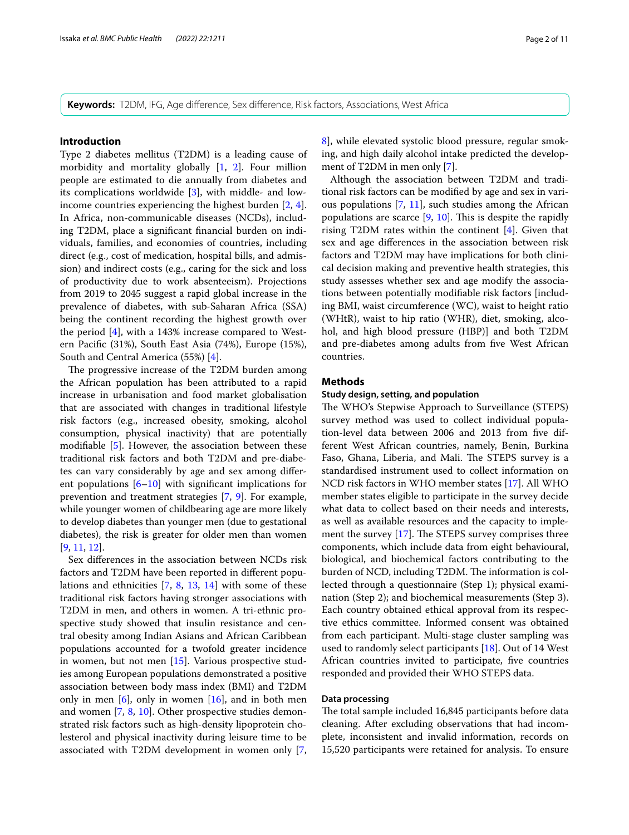**Keywords:** T2DM, IFG, Age diference, Sex diference, Risk factors, Associations, West Africa

#### **Introduction**

Type 2 diabetes mellitus (T2DM) is a leading cause of morbidity and mortality globally [[1,](#page-8-0) [2\]](#page-8-1). Four million people are estimated to die annually from diabetes and its complications worldwide [\[3](#page-8-2)], with middle- and lowincome countries experiencing the highest burden [\[2](#page-8-1), [4](#page-8-3)]. In Africa, non-communicable diseases (NCDs), including T2DM, place a signifcant fnancial burden on individuals, families, and economies of countries, including direct (e.g., cost of medication, hospital bills, and admission) and indirect costs (e.g., caring for the sick and loss of productivity due to work absenteeism). Projections from 2019 to 2045 suggest a rapid global increase in the prevalence of diabetes, with sub-Saharan Africa (SSA) being the continent recording the highest growth over the period [\[4](#page-8-3)], with a 143% increase compared to Western Pacifc (31%), South East Asia (74%), Europe (15%), South and Central America (55%) [[4](#page-8-3)].

The progressive increase of the T2DM burden among the African population has been attributed to a rapid increase in urbanisation and food market globalisation that are associated with changes in traditional lifestyle risk factors (e.g., increased obesity, smoking, alcohol consumption, physical inactivity) that are potentially modifable [\[5](#page-8-4)]. However, the association between these traditional risk factors and both T2DM and pre-diabetes can vary considerably by age and sex among diferent populations  $[6–10]$  $[6–10]$  $[6–10]$  with significant implications for prevention and treatment strategies [[7](#page-8-6), [9](#page-8-7)]. For example, while younger women of childbearing age are more likely to develop diabetes than younger men (due to gestational diabetes), the risk is greater for older men than women [[9,](#page-8-7) [11](#page-9-1), [12\]](#page-9-2).

Sex diferences in the association between NCDs risk factors and T2DM have been reported in diferent populations and ethnicities [[7,](#page-8-6) [8,](#page-8-8) [13](#page-9-3), [14](#page-9-4)] with some of these traditional risk factors having stronger associations with T2DM in men, and others in women. A tri-ethnic prospective study showed that insulin resistance and central obesity among Indian Asians and African Caribbean populations accounted for a twofold greater incidence in women, but not men [\[15](#page-9-5)]. Various prospective studies among European populations demonstrated a positive association between body mass index (BMI) and T2DM only in men  $[6]$  $[6]$ , only in women  $[16]$  $[16]$ , and in both men and women [\[7,](#page-8-6) [8](#page-8-8), [10\]](#page-9-0). Other prospective studies demonstrated risk factors such as high-density lipoprotein cholesterol and physical inactivity during leisure time to be associated with T2DM development in women only [\[7](#page-8-6), [8\]](#page-8-8), while elevated systolic blood pressure, regular smoking, and high daily alcohol intake predicted the development of T2DM in men only [[7\]](#page-8-6).

Although the association between T2DM and traditional risk factors can be modifed by age and sex in various populations [\[7](#page-8-6), [11](#page-9-1)], such studies among the African populations are scarce  $[9, 10]$  $[9, 10]$  $[9, 10]$  $[9, 10]$ . This is despite the rapidly rising T2DM rates within the continent [\[4\]](#page-8-3). Given that sex and age diferences in the association between risk factors and T2DM may have implications for both clinical decision making and preventive health strategies, this study assesses whether sex and age modify the associations between potentially modifable risk factors [including BMI, waist circumference (WC), waist to height ratio (WHtR), waist to hip ratio (WHR), diet, smoking, alcohol, and high blood pressure (HBP)] and both T2DM and pre-diabetes among adults from fve West African countries.

#### **Methods**

#### **Study design, setting, and population**

The WHO's Stepwise Approach to Surveillance (STEPS) survey method was used to collect individual population-level data between 2006 and 2013 from fve different West African countries, namely, Benin, Burkina Faso, Ghana, Liberia, and Mali. The STEPS survey is a standardised instrument used to collect information on NCD risk factors in WHO member states [[17\]](#page-9-7). All WHO member states eligible to participate in the survey decide what data to collect based on their needs and interests, as well as available resources and the capacity to implement the survey  $[17]$ . The STEPS survey comprises three components, which include data from eight behavioural, biological, and biochemical factors contributing to the burden of NCD, including T2DM. The information is collected through a questionnaire (Step 1); physical examination (Step 2); and biochemical measurements (Step 3). Each country obtained ethical approval from its respective ethics committee. Informed consent was obtained from each participant. Multi-stage cluster sampling was used to randomly select participants [[18\]](#page-9-8). Out of 14 West African countries invited to participate, fve countries responded and provided their WHO STEPS data.

### **Data processing**

The total sample included 16,845 participants before data cleaning. After excluding observations that had incomplete, inconsistent and invalid information, records on 15,520 participants were retained for analysis. To ensure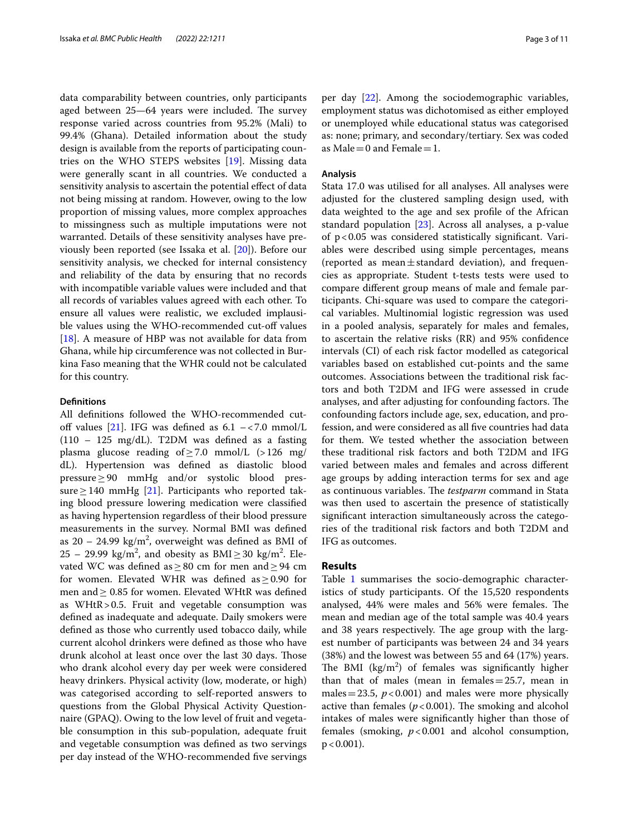data comparability between countries, only participants aged between  $25-64$  years were included. The survey response varied across countries from 95.2% (Mali) to 99.4% (Ghana). Detailed information about the study design is available from the reports of participating countries on the WHO STEPS websites [\[19](#page-9-9)]. Missing data were generally scant in all countries. We conducted a sensitivity analysis to ascertain the potential effect of data not being missing at random. However, owing to the low proportion of missing values, more complex approaches to missingness such as multiple imputations were not warranted. Details of these sensitivity analyses have previously been reported (see Issaka et al. [[20](#page-9-10)]). Before our sensitivity analysis, we checked for internal consistency and reliability of the data by ensuring that no records with incompatible variable values were included and that all records of variables values agreed with each other. To ensure all values were realistic, we excluded implausible values using the WHO-recommended cut-off values [[18\]](#page-9-8). A measure of HBP was not available for data from Ghana, while hip circumference was not collected in Burkina Faso meaning that the WHR could not be calculated for this country.

#### **Defnitions**

All defnitions followed the WHO-recommended cut-off values [[21](#page-9-11)]. IFG was defined as  $6.1 - < 7.0$  mmol/L (110 – 125 mg/dL). T2DM was defned as a fasting plasma glucose reading of $\geq$ 7.0 mmol/L (>126 mg/ dL). Hypertension was defned as diastolic blood pressure≥90 mmHg and/or systolic blood pressure  $\geq$  140 mmHg [\[21](#page-9-11)]. Participants who reported taking blood pressure lowering medication were classifed as having hypertension regardless of their blood pressure measurements in the survey. Normal BMI was defned as 20 – 24.99 kg/m<sup>2</sup>, overweight was defined as BMI of  $25 - 29.99 \text{ kg/m}^2$ , and obesity as  $\text{BMI} \geq 30 \text{ kg/m}^2$ . Elevated WC was defned as≥80 cm for men and≥94 cm for women. Elevated WHR was defined as  $\geq$  0.90 for men and  $\geq 0.85$  for women. Elevated WHtR was defined as WHtR>0.5. Fruit and vegetable consumption was defned as inadequate and adequate. Daily smokers were defned as those who currently used tobacco daily, while current alcohol drinkers were defned as those who have drunk alcohol at least once over the last 30 days. Those who drank alcohol every day per week were considered heavy drinkers. Physical activity (low, moderate, or high) was categorised according to self-reported answers to questions from the Global Physical Activity Questionnaire (GPAQ). Owing to the low level of fruit and vegetable consumption in this sub-population, adequate fruit and vegetable consumption was defned as two servings per day instead of the WHO-recommended fve servings

per day [[22\]](#page-9-12). Among the sociodemographic variables, employment status was dichotomised as either employed or unemployed while educational status was categorised as: none; primary, and secondary/tertiary. Sex was coded as Male = 0 and Female = 1.

#### **Analysis**

Stata 17.0 was utilised for all analyses. All analyses were adjusted for the clustered sampling design used, with data weighted to the age and sex profle of the African standard population [[23\]](#page-9-13). Across all analyses, a p-value of p<0.05 was considered statistically signifcant. Variables were described using simple percentages, means (reported as mean $\pm$ standard deviation), and frequencies as appropriate. Student t-tests tests were used to compare diferent group means of male and female participants. Chi-square was used to compare the categorical variables. Multinomial logistic regression was used in a pooled analysis, separately for males and females, to ascertain the relative risks (RR) and 95% confdence intervals (CI) of each risk factor modelled as categorical variables based on established cut-points and the same outcomes. Associations between the traditional risk factors and both T2DM and IFG were assessed in crude analyses, and after adjusting for confounding factors. The confounding factors include age, sex, education, and profession, and were considered as all fve countries had data for them. We tested whether the association between these traditional risk factors and both T2DM and IFG varied between males and females and across diferent age groups by adding interaction terms for sex and age as continuous variables. The *testparm* command in Stata was then used to ascertain the presence of statistically signifcant interaction simultaneously across the categories of the traditional risk factors and both T2DM and IFG as outcomes.

#### **Results**

Table [1](#page-3-0) summarises the socio-demographic characteristics of study participants. Of the 15,520 respondents analysed, 44% were males and 56% were females. The mean and median age of the total sample was 40.4 years and 38 years respectively. The age group with the largest number of participants was between 24 and 34 years (38%) and the lowest was between 55 and 64 (17%) years. The BMI  $(kg/m^2)$  of females was significantly higher than that of males (mean in females  $=25.7$ , mean in males = 23.5,  $p < 0.001$ ) and males were more physically active than females  $(p < 0.001)$ . The smoking and alcohol intakes of males were signifcantly higher than those of females (smoking, *p*<0.001 and alcohol consumption,  $p < 0.001$ ).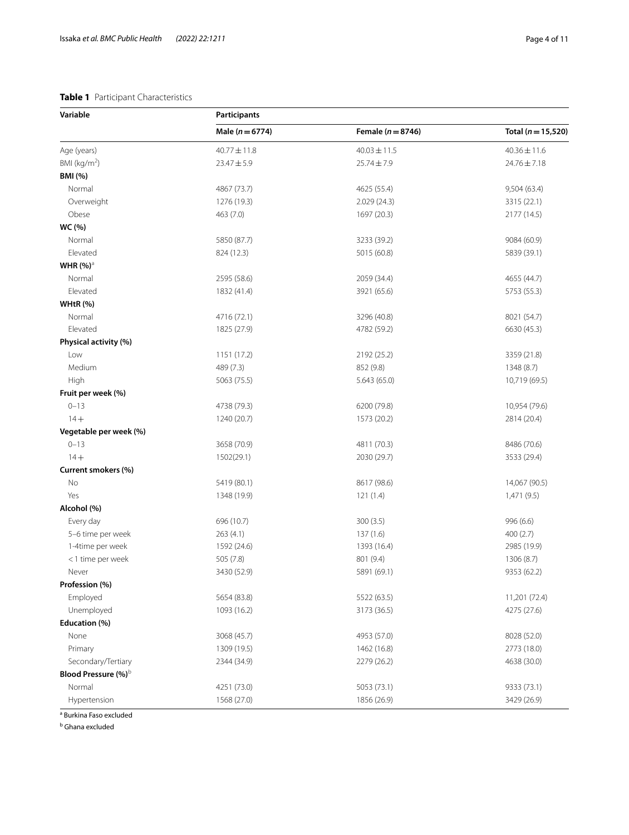## <span id="page-3-0"></span>**Table 1** Participant Characteristics

| Variable                        | Participants        |                       |                        |  |  |  |  |  |  |
|---------------------------------|---------------------|-----------------------|------------------------|--|--|--|--|--|--|
|                                 | Male ( $n = 6774$ ) | Female ( $n = 8746$ ) | Total ( $n = 15,520$ ) |  |  |  |  |  |  |
| Age (years)                     | $40.77 \pm 11.8$    | $40.03 \pm 11.5$      | $40.36 \pm 11.6$       |  |  |  |  |  |  |
| BMI ( $kg/m2$ )                 | $23.47 \pm 5.9$     | $25.74 \pm 7.9$       | 24.76±7.18             |  |  |  |  |  |  |
| <b>BMI</b> (%)                  |                     |                       |                        |  |  |  |  |  |  |
| Normal                          | 4867 (73.7)         | 4625 (55.4)           | 9,504 (63.4)           |  |  |  |  |  |  |
| Overweight                      | 1276 (19.3)         | 2.029(24.3)           | 3315 (22.1)            |  |  |  |  |  |  |
| Obese                           | 463 (7.0)           | 1697 (20.3)           | 2177 (14.5)            |  |  |  |  |  |  |
| WC (%)                          |                     |                       |                        |  |  |  |  |  |  |
| Normal                          | 5850 (87.7)         | 3233 (39.2)           | 9084 (60.9)            |  |  |  |  |  |  |
| Elevated                        | 824 (12.3)          | 5015 (60.8)           | 5839 (39.1)            |  |  |  |  |  |  |
| WHR $(%)^3$                     |                     |                       |                        |  |  |  |  |  |  |
| Normal                          | 2595 (58.6)         | 2059 (34.4)           | 4655 (44.7)            |  |  |  |  |  |  |
| Elevated                        | 1832 (41.4)         | 3921 (65.6)           | 5753 (55.3)            |  |  |  |  |  |  |
| WHtR $(%)$                      |                     |                       |                        |  |  |  |  |  |  |
| Normal                          | 4716 (72.1)         | 3296 (40.8)           | 8021 (54.7)            |  |  |  |  |  |  |
| Elevated                        | 1825 (27.9)         | 4782 (59.2)           | 6630 (45.3)            |  |  |  |  |  |  |
| Physical activity (%)           |                     |                       |                        |  |  |  |  |  |  |
| Low                             | 1151 (17.2)         | 2192 (25.2)           | 3359 (21.8)            |  |  |  |  |  |  |
| Medium                          | 489 (7.3)           | 852 (9.8)             | 1348 (8.7)             |  |  |  |  |  |  |
| High                            | 5063 (75.5)         | 5.643(65.0)           | 10,719 (69.5)          |  |  |  |  |  |  |
| Fruit per week (%)              |                     |                       |                        |  |  |  |  |  |  |
| $0 - 13$                        | 4738 (79.3)         | 6200 (79.8)           | 10,954 (79.6)          |  |  |  |  |  |  |
| $14 +$                          | 1240 (20.7)         | 1573 (20.2)           | 2814 (20.4)            |  |  |  |  |  |  |
| Vegetable per week (%)          |                     |                       |                        |  |  |  |  |  |  |
| $0 - 13$                        | 3658 (70.9)         | 4811 (70.3)           | 8486 (70.6)            |  |  |  |  |  |  |
| $14 +$                          | 1502(29.1)          | 2030 (29.7)           | 3533 (29.4)            |  |  |  |  |  |  |
| Current smokers (%)             |                     |                       |                        |  |  |  |  |  |  |
| No                              | 5419 (80.1)         | 8617 (98.6)           | 14,067 (90.5)          |  |  |  |  |  |  |
| Yes                             | 1348 (19.9)         | 121(1.4)              | 1,471 (9.5)            |  |  |  |  |  |  |
| Alcohol (%)                     |                     |                       |                        |  |  |  |  |  |  |
| Every day                       | 696 (10.7)          | 300(3.5)              | 996 (6.6)              |  |  |  |  |  |  |
| 5-6 time per week               | 263(4.1)            | 137(1.6)              | 400(2.7)               |  |  |  |  |  |  |
| 1-4time per week                | 1592 (24.6)         | 1393 (16.4)           | 2985 (19.9)            |  |  |  |  |  |  |
| <1 time per week                | 505 (7.8)           | 801 (9.4)             | 1306 (8.7)             |  |  |  |  |  |  |
| Never                           | 3430 (52.9)         | 5891 (69.1)           | 9353 (62.2)            |  |  |  |  |  |  |
| Profession (%)                  |                     |                       |                        |  |  |  |  |  |  |
| Employed                        | 5654 (83.8)         | 5522 (63.5)           | 11,201 (72.4)          |  |  |  |  |  |  |
| Unemployed                      | 1093 (16.2)         | 3173 (36.5)           | 4275 (27.6)            |  |  |  |  |  |  |
| Education (%)                   |                     |                       |                        |  |  |  |  |  |  |
| None                            | 3068 (45.7)         | 4953 (57.0)           | 8028 (52.0)            |  |  |  |  |  |  |
| Primary                         | 1309 (19.5)         | 1462 (16.8)           | 2773 (18.0)            |  |  |  |  |  |  |
| Secondary/Tertiary              | 2344 (34.9)         | 2279 (26.2)           | 4638 (30.0)            |  |  |  |  |  |  |
| Blood Pressure (%) <sup>b</sup> |                     |                       |                        |  |  |  |  |  |  |
| Normal                          | 4251 (73.0)         | 5053 (73.1)           | 9333 (73.1)            |  |  |  |  |  |  |
| Hypertension                    | 1568 (27.0)         | 1856 (26.9)           | 3429 (26.9)            |  |  |  |  |  |  |

<sup>a</sup> Burkina Faso excluded

<sup>b</sup> Ghana excluded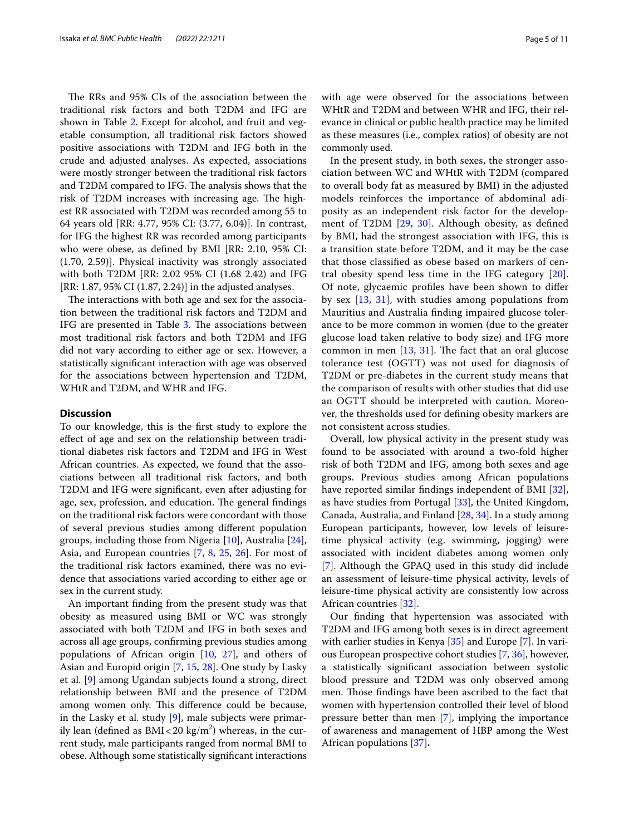The RRs and 95% CIs of the association between the traditional risk factors and both T2DM and IFG are shown in Table [2](#page-5-0). Except for alcohol, and fruit and vegetable consumption, all traditional risk factors showed positive associations with T2DM and IFG both in the crude and adjusted analyses. As expected, associations were mostly stronger between the traditional risk factors and T2DM compared to IFG. The analysis shows that the risk of T2DM increases with increasing age. The highest RR associated with T2DM was recorded among 55 to 64 years old [RR: 4.77, 95% CI: (3.77, 6.04)]. In contrast, for IFG the highest RR was recorded among participants who were obese, as defned by BMI [RR: 2.10, 95% CI: (1.70, 2.59)]. Physical inactivity was strongly associated with both T2DM [RR: 2.02 95% CI (1.68 2.42) and IFG [RR: 1.87, 95% CI (1.87, 2.24)] in the adjusted analyses.

The interactions with both age and sex for the association between the traditional risk factors and T2DM and IFG are presented in Table [3](#page-6-0). The associations between most traditional risk factors and both T2DM and IFG did not vary according to either age or sex. However, a statistically signifcant interaction with age was observed for the associations between hypertension and T2DM, WHtR and T2DM, and WHR and IFG.

#### **Discussion**

To our knowledge, this is the frst study to explore the efect of age and sex on the relationship between traditional diabetes risk factors and T2DM and IFG in West African countries. As expected, we found that the associations between all traditional risk factors, and both T2DM and IFG were signifcant, even after adjusting for age, sex, profession, and education. The general findings on the traditional risk factors were concordant with those of several previous studies among diferent population groups, including those from Nigeria [[10](#page-9-0)], Australia [\[24](#page-9-14)], Asia, and European countries [[7](#page-8-6), [8,](#page-8-8) [25](#page-9-15), [26\]](#page-9-16). For most of the traditional risk factors examined, there was no evidence that associations varied according to either age or sex in the current study.

An important fnding from the present study was that obesity as measured using BMI or WC was strongly associated with both T2DM and IFG in both sexes and across all age groups, confrming previous studies among populations of African origin [[10,](#page-9-0) [27](#page-9-17)], and others of Asian and Europid origin [[7,](#page-8-6) [15](#page-9-5), [28](#page-9-18)]. One study by Lasky et al. [[9\]](#page-8-7) among Ugandan subjects found a strong, direct relationship between BMI and the presence of T2DM among women only. This difference could be because, in the Lasky et al. study  $[9]$  $[9]$ , male subjects were primarily lean (defined as BMI<20 kg/m $^2$ ) whereas, in the current study, male participants ranged from normal BMI to obese. Although some statistically signifcant interactions with age were observed for the associations between WHtR and T2DM and between WHR and IFG, their relevance in clinical or public health practice may be limited as these measures (i.e., complex ratios) of obesity are not commonly used.

In the present study, in both sexes, the stronger association between WC and WHtR with T2DM (compared to overall body fat as measured by BMI) in the adjusted models reinforces the importance of abdominal adiposity as an independent risk factor for the development of T2DM [[29,](#page-9-19) [30](#page-9-20)]. Although obesity, as defned by BMI, had the strongest association with IFG, this is a transition state before T2DM, and it may be the case that those classifed as obese based on markers of central obesity spend less time in the IFG category [[20](#page-9-10)]. Of note, glycaemic profles have been shown to difer by sex [\[13,](#page-9-3) [31](#page-9-21)], with studies among populations from Mauritius and Australia fnding impaired glucose tolerance to be more common in women (due to the greater glucose load taken relative to body size) and IFG more common in men  $[13, 31]$  $[13, 31]$  $[13, 31]$  $[13, 31]$ . The fact that an oral glucose tolerance test (OGTT) was not used for diagnosis of T2DM or pre-diabetes in the current study means that the comparison of results with other studies that did use an OGTT should be interpreted with caution. Moreover, the thresholds used for defning obesity markers are not consistent across studies.

Overall, low physical activity in the present study was found to be associated with around a two-fold higher risk of both T2DM and IFG, among both sexes and age groups. Previous studies among African populations have reported similar fndings independent of BMI [\[32](#page-9-22)], as have studies from Portugal [[33\]](#page-9-23), the United Kingdom, Canada, Australia, and Finland [\[28](#page-9-18), [34\]](#page-9-24). In a study among European participants, however, low levels of leisuretime physical activity (e.g. swimming, jogging) were associated with incident diabetes among women only [[7\]](#page-8-6). Although the GPAQ used in this study did include an assessment of leisure-time physical activity, levels of leisure-time physical activity are consistently low across African countries [[32](#page-9-22)].

Our fnding that hypertension was associated with T2DM and IFG among both sexes is in direct agreement with earlier studies in Kenya [[35\]](#page-9-25) and Europe [\[7](#page-8-6)]. In various European prospective cohort studies [\[7](#page-8-6), [36\]](#page-9-26), however, a statistically signifcant association between systolic blood pressure and T2DM was only observed among men. Those findings have been ascribed to the fact that women with hypertension controlled their level of blood pressure better than men [[7\]](#page-8-6), implying the importance of awareness and management of HBP among the West African populations [[37\]](#page-9-27)**.**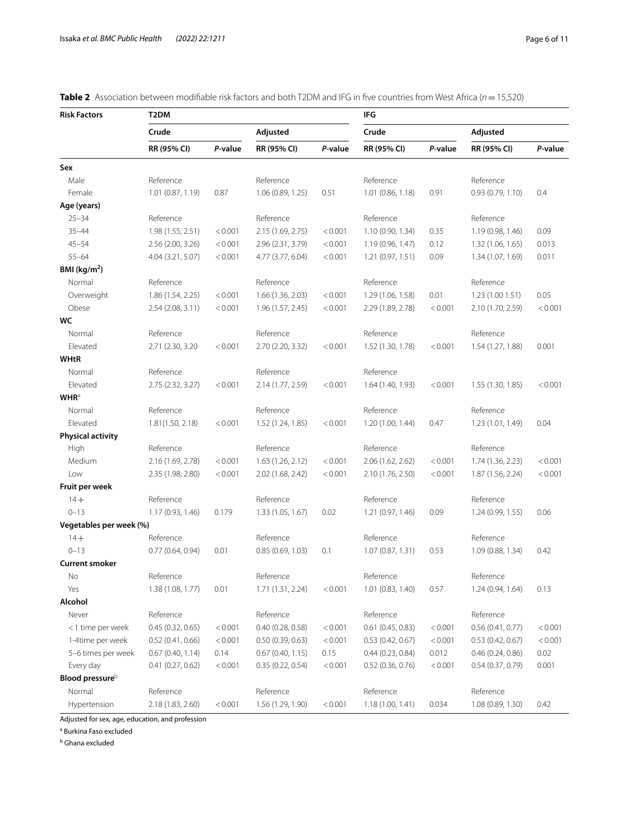| <b>Risk Factors</b>         | T2DM              |         |                     | IFG     |                   |         |                   |         |
|-----------------------------|-------------------|---------|---------------------|---------|-------------------|---------|-------------------|---------|
|                             | Crude             |         | Adjusted            |         | Crude             |         | Adjusted          |         |
|                             | RR (95% CI)       | P-value | RR (95% CI)         | P-value | RR (95% CI)       | P-value | RR (95% CI)       | P-value |
| Sex                         |                   |         |                     |         |                   |         |                   |         |
| Male                        | Reference         |         | Reference           |         | Reference         |         | Reference         |         |
| Female                      | 1.01 (0.87, 1.19) | 0.87    | 1.06 (0.89, 1.25)   | 0.51    | 1.01 (0.86, 1.18) | 0.91    | 0.93(0.79, 1.10)  | 0.4     |
| Age (years)                 |                   |         |                     |         |                   |         |                   |         |
| $25 - 34$                   | Reference         |         | Reference           |         | Reference         |         | Reference         |         |
| $35 - 44$                   | 1.98 (1.55, 2.51) | < 0.001 | 2.15 (1.69, 2.75)   | < 0.001 | 1.10 (0.90, 1.34) | 0.35    | 1.19 (0.98, 1.46) | 0.09    |
| $45 - 54$                   | 2.56 (2.00, 3.26) | < 0.001 | 2.96 (2.31, 3.79)   | < 0.001 | 1.19 (0.96, 1.47) | 0.12    | 1.32 (1.06, 1.65) | 0.013   |
| $55 - 64$                   | 4.04 (3.21, 5.07) | < 0.001 | 4.77 (3.77, 6.04)   | < 0.001 | 1.21(0.97, 1.51)  | 0.09    | 1.34 (1.07, 1.69) | 0.011   |
| BMI ( $kg/m2$ )             |                   |         |                     |         |                   |         |                   |         |
| Normal                      | Reference         |         | Reference           |         | Reference         |         | Reference         |         |
| Overweight                  | 1.86 (1.54, 2.25) | < 0.001 | 1.66 (1.36, 2.03)   | < 0.001 | 1.29 (1.06, 1.58) | 0.01    | 1.23 (1.00 1.51)  | 0.05    |
| Obese                       | 2.54 (2.08, 3.11) | < 0.001 | 1.96 (1.57, 2.45)   | < 0.001 | 2.29 (1.89, 2.78) | < 0.001 | 2.10 (1.70, 2.59) | < 0.001 |
| WC                          |                   |         |                     |         |                   |         |                   |         |
| Normal                      | Reference         |         | Reference           |         | Reference         |         | Reference         |         |
| Elevated                    | 2.71 (2.30, 3.20  | < 0.001 | 2.70 (2.20, 3.32)   | < 0.001 | 1.52 (1.30, 1.78) | < 0.001 | 1.54 (1.27, 1.88) | 0.001   |
| <b>WHtR</b>                 |                   |         |                     |         |                   |         |                   |         |
| Normal                      | Reference         |         | Reference           |         | Reference         |         |                   |         |
| Elevated                    | 2.75 (2.32, 3.27) | < 0.001 | 2.14 (1.77, 2.59)   | < 0.001 | 1.64 (1.40, 1.93) | < 0.001 | 1.55 (1.30, 1.85) | < 0.001 |
| <b>WHR</b> <sup>a</sup>     |                   |         |                     |         |                   |         |                   |         |
| Normal                      | Reference         |         | Reference           |         | Reference         |         | Reference         |         |
| Elevated                    | 1.81(1.50, 2.18)  | < 0.001 | 1.52 (1.24, 1.85)   | < 0.001 | 1.20(1.00, 1.44)  | 0.47    | 1.23 (1.01, 1.49) | 0.04    |
| <b>Physical activity</b>    |                   |         |                     |         |                   |         |                   |         |
| High                        | Reference         |         | Reference           |         | Reference         |         | Reference         |         |
| Medium                      | 2.16 (1.69, 2.78) | < 0.001 | 1.63(1.26, 2.12)    | < 0.001 | 2.06 (1.62, 2.62) | < 0.001 | 1.74 (1.36, 2.23) | < 0.001 |
| Low                         | 2.35 (1.98, 2.80) | < 0.001 | 2.02 (1.68, 2.42)   | < 0.001 | 2.10 (1.76, 2.50) | < 0.001 | 1.87 (1.56, 2.24) | < 0.001 |
| Fruit per week              |                   |         |                     |         |                   |         |                   |         |
| $14 +$                      | Reference         |         | Reference           |         | Reference         |         | Reference         |         |
| $0 - 13$                    | 1.17 (0.93, 1.46) | 0.179   | 1.33 (1.05, 1.67)   | 0.02    | 1.21(0.97, 1.46)  | 0.09    | 1.24 (0.99, 1.55) | 0.06    |
| Vegetables per week (%)     |                   |         |                     |         |                   |         |                   |         |
| $14 +$                      | Reference         |         | Reference           |         | Reference         |         | Reference         |         |
| $0 - 13$                    | 0.77(0.64, 0.94)  | 0.01    | 0.85(0.69, 1.03)    | 0.1     | 1.07(0.87, 1.31)  | 0.53    | 1.09 (0.88, 1.34) | 0.42    |
| <b>Current smoker</b>       |                   |         |                     |         |                   |         |                   |         |
| No                          | Reference         |         | Reference           |         | Reference         |         | Reference         |         |
| Yes                         | 1.38 (1.08, 1.77) | 0.01    |                     | < 0.001 | 1.01 (0.83, 1.40) | 0.57    |                   |         |
| Alcohol                     |                   |         | 1.71 (1.31, 2.24)   |         |                   |         | 1.24(0.94, 1.64)  | 0.13    |
| Never                       | Reference         |         | Reference           |         | Reference         |         | Reference         |         |
|                             |                   |         |                     | < 0.001 | 0.61(0.45, 0.83)  |         |                   |         |
| <1 time per week            | 0.45(0.32, 0.65)  | < 0.001 | 0.40 (0.28, 0.58)   |         |                   | < 0.001 | 0.56(0.41, 0.77)  | < 0.001 |
| 1-4time per week            | 0.52(0.41, 0.66)  | < 0.001 | 0.50(0.39, 0.63)    | < 0.001 | 0.53(0.42, 0.67)  | < 0.001 | 0.53(0.42, 0.67)  | < 0.001 |
| 5-6 times per week          | 0.67(0.40, 1.14)  | 0.14    | $0.67$ (0.40, 1.15) | 0.15    | 0.44(0.23, 0.84)  | 0.012   | 0.46(0.24, 0.86)  | 0.02    |
| Every day                   | 0.41(0.27, 0.62)  | < 0.001 | 0.35(0.22, 0.54)    | < 0.001 | 0.52(0.36, 0.76)  | < 0.001 | 0.54(0.37, 0.79)  | 0.001   |
| Blood pressure <sup>b</sup> |                   |         |                     |         |                   |         |                   |         |
| Normal                      | Reference         |         | Reference           |         | Reference         |         | Reference         |         |
| Hypertension                | 2.18 (1.83, 2.60) | < 0.001 | 1.56 (1.29, 1.90)   | < 0.001 | 1.18 (1.00, 1.41) | 0.034   | 1.08 (0.89, 1.30) | 0.42    |

<span id="page-5-0"></span>

|  |  |  | <b>Table 2</b> Association between modifiable risk factors and both T2DM and IFG in five countries from West Africa (n = 15,520) |  |  |  |  |  |  |  |  |  |  |  |  |
|--|--|--|----------------------------------------------------------------------------------------------------------------------------------|--|--|--|--|--|--|--|--|--|--|--|--|
|--|--|--|----------------------------------------------------------------------------------------------------------------------------------|--|--|--|--|--|--|--|--|--|--|--|--|

Adjusted for sex, age, education, and profession

<sup>a</sup> Burkina Faso excluded

<sup>b</sup> Ghana excluded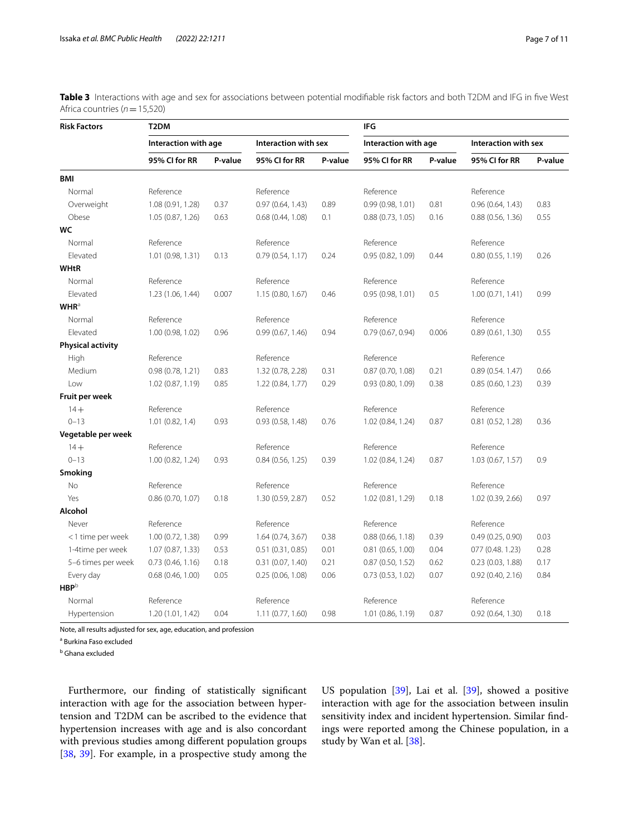<span id="page-6-0"></span>

| Table 3 Interactions with age and sex for associations between potential modifiable risk factors and both T2DM and IFG in five West |  |  |  |  |
|-------------------------------------------------------------------------------------------------------------------------------------|--|--|--|--|
| Africa countries ( $n = 15,520$ )                                                                                                   |  |  |  |  |

| <b>Risk Factors</b>      | T <sub>2</sub> DM    |         |                      | IFG     |                      |         |                      |         |
|--------------------------|----------------------|---------|----------------------|---------|----------------------|---------|----------------------|---------|
|                          | Interaction with age |         | Interaction with sex |         | Interaction with age |         | Interaction with sex |         |
|                          | 95% CI for RR        | P-value | 95% CI for RR        | P-value | 95% CI for RR        | P-value | 95% CI for RR        | P-value |
| <b>BMI</b>               |                      |         |                      |         |                      |         |                      |         |
| Normal                   | Reference            |         | Reference            |         | Reference            |         | Reference            |         |
| Overweight               | 1.08 (0.91, 1.28)    | 0.37    | 0.97(0.64, 1.43)     | 0.89    | 0.99(0.98, 1.01)     | 0.81    | 0.96(0.64, 1.43)     | 0.83    |
| Obese                    | 1.05 (0.87, 1.26)    | 0.63    | 0.68(0.44, 1.08)     | 0.1     | 0.88(0.73, 1.05)     | 0.16    | 0.88(0.56, 1.36)     | 0.55    |
| WC                       |                      |         |                      |         |                      |         |                      |         |
| Normal                   | Reference            |         | Reference            |         | Reference            |         | Reference            |         |
| Elevated                 | 1.01 (0.98, 1.31)    | 0.13    | 0.79(0.54, 1.17)     | 0.24    | 0.95(0.82, 1.09)     | 0.44    | 0.80(0.55, 1.19)     | 0.26    |
| <b>WHtR</b>              |                      |         |                      |         |                      |         |                      |         |
| Normal                   | Reference            |         | Reference            |         | Reference            |         | Reference            |         |
| Elevated                 | 1.23 (1.06, 1.44)    | 0.007   | 1.15(0.80, 1.67)     | 0.46    | 0.95(0.98, 1.01)     | 0.5     | 1.00(0.71, 1.41)     | 0.99    |
| <b>WHR</b> <sup>a</sup>  |                      |         |                      |         |                      |         |                      |         |
| Normal                   | Reference            |         | Reference            |         | Reference            |         | Reference            |         |
| Elevated                 | 1.00 (0.98, 1.02)    | 0.96    | 0.99(0.67, 1.46)     | 0.94    | 0.79(0.67, 0.94)     | 0.006   | 0.89(0.61, 1.30)     | 0.55    |
| <b>Physical activity</b> |                      |         |                      |         |                      |         |                      |         |
| High                     | Reference            |         | Reference            |         | Reference            |         | Reference            |         |
| Medium                   | 0.98(0.78, 1.21)     | 0.83    | 1.32 (0.78, 2.28)    | 0.31    | 0.87(0.70, 1.08)     | 0.21    | 0.89(0.54.1.47)      | 0.66    |
| Low                      | 1.02 (0.87, 1.19)    | 0.85    | 1.22 (0.84, 1.77)    | 0.29    | 0.93(0.80, 1.09)     | 0.38    | 0.85(0.60, 1.23)     | 0.39    |
| Fruit per week           |                      |         |                      |         |                      |         |                      |         |
| $14 +$                   | Reference            |         | Reference            |         | Reference            |         | Reference            |         |
| $0 - 13$                 | 1.01(0.82, 1.4)      | 0.93    | 0.93(0.58, 1.48)     | 0.76    | 1.02 (0.84, 1.24)    | 0.87    | 0.81(0.52, 1.28)     | 0.36    |
| Vegetable per week       |                      |         |                      |         |                      |         |                      |         |
| $14 +$                   | Reference            |         | Reference            |         | Reference            |         | Reference            |         |
| $0 - 13$                 | 1.00 (0.82, 1.24)    | 0.93    | 0.84(0.56, 1.25)     | 0.39    | 1.02 (0.84, 1.24)    | 0.87    | 1.03(0.67, 1.57)     | 0.9     |
| <b>Smoking</b>           |                      |         |                      |         |                      |         |                      |         |
| No                       | Reference            |         | Reference            |         | Reference            |         | Reference            |         |
| Yes                      | 0.86(0.70, 1.07)     | 0.18    | 1.30 (0.59, 2.87)    | 0.52    | 1.02 (0.81, 1.29)    | 0.18    | 1.02 (0.39, 2.66)    | 0.97    |
| Alcohol                  |                      |         |                      |         |                      |         |                      |         |
| Never                    | Reference            |         | Reference            |         | Reference            |         | Reference            |         |
| <1 time per week         | 1.00(0.72, 1.38)     | 0.99    | 1.64(0.74, 3.67)     | 0.38    | 0.88(0.66, 1.18)     | 0.39    | 0.49(0.25, 0.90)     | 0.03    |
| 1-4time per week         | 1.07(0.87, 1.33)     | 0.53    | 0.51(0.31, 0.85)     | 0.01    | 0.81(0.65, 1.00)     | 0.04    | 077 (0.48. 1.23)     | 0.28    |
| 5-6 times per week       | 0.73(0.46, 1.16)     | 0.18    | 0.31(0.07, 1.40)     | 0.21    | 0.87(0.50, 1.52)     | 0.62    | 0.23(0.03, 1.88)     | 0.17    |
| Every day                | 0.68(0.46, 1.00)     | 0.05    | 0.25(0.06, 1.08)     | 0.06    | 0.73(0.53, 1.02)     | 0.07    | 0.92(0.40, 2.16)     | 0.84    |
| ${\sf HBP}^{\sf b}$      |                      |         |                      |         |                      |         |                      |         |
| Normal                   | Reference            |         | Reference            |         | Reference            |         | Reference            |         |
| Hypertension             | 1.20 (1.01, 1.42)    | 0.04    | 1.11(0.77, 1.60)     | 0.98    | 1.01 (0.86, 1.19)    | 0.87    | 0.92(0.64, 1.30)     | 0.18    |

Note, all results adjusted for sex, age, education, and profession

<sup>a</sup> Burkina Faso excluded

<sup>b</sup> Ghana excluded

Furthermore, our fnding of statistically signifcant interaction with age for the association between hypertension and T2DM can be ascribed to the evidence that hypertension increases with age and is also concordant with previous studies among diferent population groups [[38,](#page-9-28) [39](#page-9-29)]. For example, in a prospective study among the

US population [\[39](#page-9-29)], Lai et al. [[39](#page-9-29)], showed a positive interaction with age for the association between insulin sensitivity index and incident hypertension. Similar fndings were reported among the Chinese population, in a study by Wan et al. [\[38](#page-9-28)].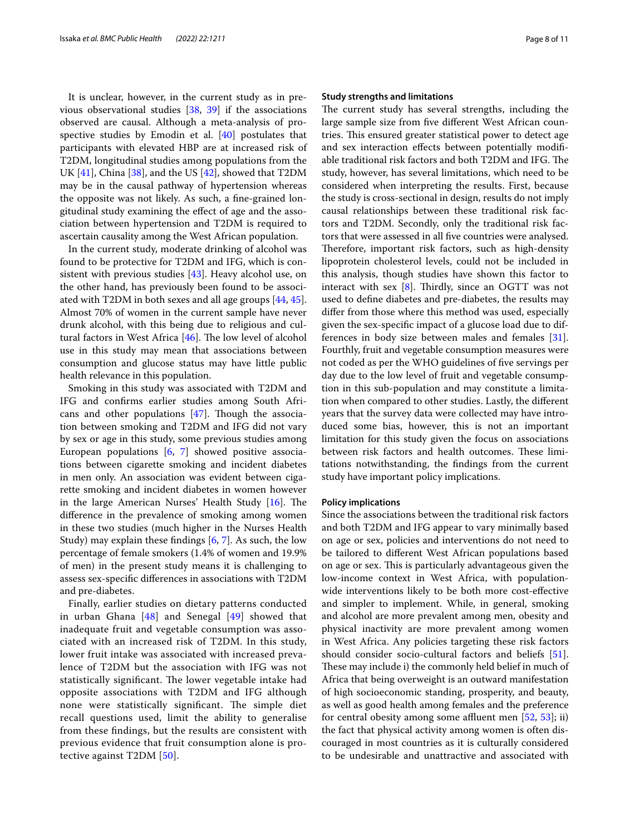It is unclear, however, in the current study as in previous observational studies [\[38,](#page-9-28) [39\]](#page-9-29) if the associations observed are causal. Although a meta-analysis of prospective studies by Emodin et al.  $[40]$  postulates that participants with elevated HBP are at increased risk of T2DM, longitudinal studies among populations from the UK [\[41](#page-9-31)], China [\[38](#page-9-28)], and the US [[42\]](#page-9-32), showed that T2DM may be in the causal pathway of hypertension whereas the opposite was not likely. As such, a fne-grained longitudinal study examining the efect of age and the association between hypertension and T2DM is required to ascertain causality among the West African population.

In the current study, moderate drinking of alcohol was found to be protective for T2DM and IFG, which is consistent with previous studies [[43\]](#page-9-33). Heavy alcohol use, on the other hand, has previously been found to be associated with T2DM in both sexes and all age groups [[44,](#page-9-34) [45](#page-9-35)]. Almost 70% of women in the current sample have never drunk alcohol, with this being due to religious and cultural factors in West Africa  $[46]$ . The low level of alcohol use in this study may mean that associations between consumption and glucose status may have little public health relevance in this population.

Smoking in this study was associated with T2DM and IFG and confrms earlier studies among South Africans and other populations  $[47]$  $[47]$ . Though the association between smoking and T2DM and IFG did not vary by sex or age in this study, some previous studies among European populations [\[6](#page-8-5), [7\]](#page-8-6) showed positive associations between cigarette smoking and incident diabetes in men only. An association was evident between cigarette smoking and incident diabetes in women however in the large American Nurses' Health Study  $[16]$  $[16]$ . The diference in the prevalence of smoking among women in these two studies (much higher in the Nurses Health Study) may explain these fndings [\[6](#page-8-5), [7\]](#page-8-6). As such, the low percentage of female smokers (1.4% of women and 19.9% of men) in the present study means it is challenging to assess sex-specifc diferences in associations with T2DM and pre-diabetes.

Finally, earlier studies on dietary patterns conducted in urban Ghana [[48](#page-9-38)] and Senegal [[49\]](#page-9-39) showed that inadequate fruit and vegetable consumption was associated with an increased risk of T2DM. In this study, lower fruit intake was associated with increased prevalence of T2DM but the association with IFG was not statistically significant. The lower vegetable intake had opposite associations with T2DM and IFG although none were statistically significant. The simple diet recall questions used, limit the ability to generalise from these fndings, but the results are consistent with previous evidence that fruit consumption alone is protective against T2DM [[50\]](#page-9-40).

#### **Study strengths and limitations**

The current study has several strengths, including the large sample size from fve diferent West African countries. This ensured greater statistical power to detect age and sex interaction effects between potentially modifiable traditional risk factors and both T2DM and IFG. The study, however, has several limitations, which need to be considered when interpreting the results. First, because the study is cross-sectional in design, results do not imply causal relationships between these traditional risk factors and T2DM. Secondly, only the traditional risk factors that were assessed in all fve countries were analysed. Therefore, important risk factors, such as high-density lipoprotein cholesterol levels, could not be included in this analysis, though studies have shown this factor to interact with sex  $[8]$  $[8]$ . Thirdly, since an OGTT was not used to defne diabetes and pre-diabetes, the results may difer from those where this method was used, especially given the sex-specifc impact of a glucose load due to differences in body size between males and females [\[31](#page-9-21)]. Fourthly, fruit and vegetable consumption measures were not coded as per the WHO guidelines of fve servings per day due to the low level of fruit and vegetable consumption in this sub-population and may constitute a limitation when compared to other studies. Lastly, the diferent years that the survey data were collected may have introduced some bias, however, this is not an important limitation for this study given the focus on associations between risk factors and health outcomes. These limitations notwithstanding, the fndings from the current study have important policy implications.

#### **Policy implications**

Since the associations between the traditional risk factors and both T2DM and IFG appear to vary minimally based on age or sex, policies and interventions do not need to be tailored to diferent West African populations based on age or sex. This is particularly advantageous given the low-income context in West Africa, with populationwide interventions likely to be both more cost-efective and simpler to implement. While, in general, smoking and alcohol are more prevalent among men, obesity and physical inactivity are more prevalent among women in West Africa. Any policies targeting these risk factors should consider socio-cultural factors and beliefs [\[51](#page-9-41)]. These may include i) the commonly held belief in much of Africa that being overweight is an outward manifestation of high socioeconomic standing, prosperity, and beauty, as well as good health among females and the preference for central obesity among some affluent men  $[52, 53]$  $[52, 53]$  $[52, 53]$  $[52, 53]$ ; ii) the fact that physical activity among women is often discouraged in most countries as it is culturally considered to be undesirable and unattractive and associated with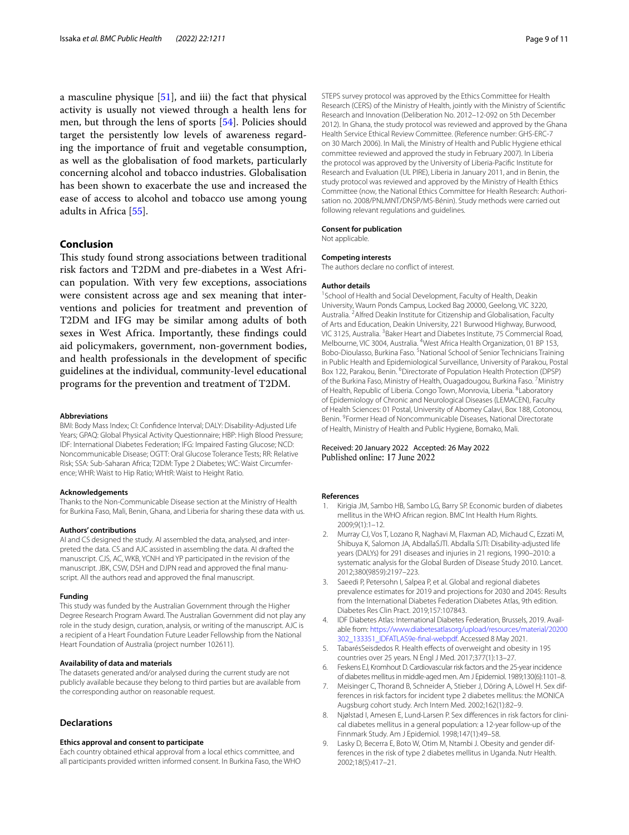a masculine physique [\[51\]](#page-9-41), and iii) the fact that physical activity is usually not viewed through a health lens for men, but through the lens of sports [[54\]](#page-10-2). Policies should target the persistently low levels of awareness regarding the importance of fruit and vegetable consumption, as well as the globalisation of food markets, particularly concerning alcohol and tobacco industries. Globalisation has been shown to exacerbate the use and increased the ease of access to alcohol and tobacco use among young adults in Africa [\[55\]](#page-10-3).

#### **Conclusion**

This study found strong associations between traditional risk factors and T2DM and pre-diabetes in a West African population. With very few exceptions, associations were consistent across age and sex meaning that interventions and policies for treatment and prevention of T2DM and IFG may be similar among adults of both sexes in West Africa. Importantly, these fndings could aid policymakers, government, non-government bodies, and health professionals in the development of specifc guidelines at the individual, community-level educational programs for the prevention and treatment of T2DM.

#### **Abbreviations**

BMI: Body Mass Index; CI: Confdence Interval; DALY: Disability-Adjusted Life Years; GPAQ: Global Physical Activity Questionnaire; HBP: High Blood Pressure; IDF: International Diabetes Federation; IFG: Impaired Fasting Glucose; NCD: Noncommunicable Disease; OGTT: Oral Glucose Tolerance Tests; RR: Relative Risk; SSA: Sub-Saharan Africa; T2DM: Type 2 Diabetes; WC: Waist Circumference; WHR: Waist to Hip Ratio; WHtR: Waist to Height Ratio.

#### **Acknowledgements**

Thanks to the Non-Communicable Disease section at the Ministry of Health for Burkina Faso, Mali, Benin, Ghana, and Liberia for sharing these data with us.

#### **Authors' contributions**

AI and CS designed the study. AI assembled the data, analysed, and interpreted the data. CS and AJC assisted in assembling the data. AI drafted the manuscript. CJS, AC, WKB, YCNH and YP participated in the revision of the manuscript. JBK, CSW, DSH and DJPN read and approved the fnal manuscript. All the authors read and approved the fnal manuscript.

#### **Funding**

This study was funded by the Australian Government through the Higher Degree Research Program Award. The Australian Government did not play any role in the study design, curation, analysis, or writing of the manuscript. AJC is a recipient of a Heart Foundation Future Leader Fellowship from the National Heart Foundation of Australia (project number 102611).

#### **Availability of data and materials**

The datasets generated and/or analysed during the current study are not publicly available because they belong to third parties but are available from the corresponding author on reasonable request.

#### **Declarations**

#### **Ethics approval and consent to participate**

Each country obtained ethical approval from a local ethics committee, and all participants provided written informed consent. In Burkina Faso, the WHO STEPS survey protocol was approved by the Ethics Committee for Health Research (CERS) of the Ministry of Health, jointly with the Ministry of Scientifc Research and Innovation (Deliberation No. 2012–12-092 on 5th December 2012). In Ghana, the study protocol was reviewed and approved by the Ghana Health Service Ethical Review Committee. (Reference number: GHS-ERC-7 on 30 March 2006). In Mali, the Ministry of Health and Public Hygiene ethical committee reviewed and approved the study in February 2007). In Liberia the protocol was approved by the University of Liberia-Pacifc Institute for Research and Evaluation (UL PIRE), Liberia in January 2011, and in Benin, the study protocol was reviewed and approved by the Ministry of Health Ethics Committee (now, the National Ethics Committee for Health Research: Authorisation no. 2008/PNLMNT/DNSP/MS-Bénin). Study methods were carried out following relevant regulations and guidelines.

#### **Consent for publication**

Not applicable.

#### **Competing interests**

The authors declare no confict of interest.

#### **Author details**

<sup>1</sup> School of Health and Social Development, Faculty of Health, Deakin University, Waurn Ponds Campus, Locked Bag 20000, Geelong, VIC 3220, Australia. <sup>2</sup> Alfred Deakin Institute for Citizenship and Globalisation, Faculty of Arts and Education, Deakin University, 221 Burwood Highway, Burwood, VIC 3125, Australia. <sup>3</sup> Baker Heart and Diabetes Institute, 75 Commercial Road, Melbourne, VIC 3004, Australia. <sup>4</sup>West Africa Health Organization, 01 BP 153, Bobo-Dioulasso, Burkina Faso. <sup>5</sup>National School of Senior Technicians Training in Public Health and Epidemiological Surveillance, University of Parakou, Postal Box 122, Parakou, Benin. <sup>6</sup> Directorate of Population Health Protection (DPSP) of the Burkina Faso, Ministry of Health, Ouagadougou, Burkina Faso. <sup>7</sup> Ministry of Health, Republic of Liberia. Congo Town, Monrovia, Liberia. <sup>8</sup> Laboratory of Epidemiology of Chronic and Neurological Diseases (LEMACEN), Faculty of Health Sciences: 01 Postal, University of Abomey Calavi, Box 188, Cotonou, Benin. <sup>9</sup> Former Head of Noncommunicable Diseases, National Directorate of Health, Ministry of Health and Public Hygiene, Bomako, Mali.

# Received: 20 January 2022 Accepted: 26 May 2022<br>Published online: 17 June 2022

#### **References**

- <span id="page-8-0"></span>Kirigia JM, Sambo HB, Sambo LG, Barry SP. Economic burden of diabetes mellitus in the WHO African region. BMC Int Health Hum Rights. 2009;9(1):1–12.
- <span id="page-8-1"></span>2. Murray CJ, Vos T, Lozano R, Naghavi M, Flaxman AD, Michaud C, Ezzati M, Shibuya K, Salomon JA, AbdallaSJTl. Abdalla SJTl: Disability-adjusted life years (DALYs) for 291 diseases and injuries in 21 regions, 1990–2010: a systematic analysis for the Global Burden of Disease Study 2010. Lancet. 2012;380(9859):2197–223.
- <span id="page-8-2"></span>3. Saeedi P, Petersohn I, Salpea P, et al. Global and regional diabetes prevalence estimates for 2019 and projections for 2030 and 2045: Results from the International Diabetes Federation Diabetes Atlas, 9th edition. Diabetes Res Clin Pract. 2019;157:107843.
- <span id="page-8-3"></span>4. IDF Diabetes Atlas: International Diabetes Federation, Brussels, 2019. Available from: [https://www.diabetesatlasorg/upload/resources/material/20200](https://www.diabetesatlasorg/upload/resources/material/20200302_133351_IDFATLAS9e-final-webpdf) [302\\_133351\\_IDFATLAS9e-fnal-webpdf](https://www.diabetesatlasorg/upload/resources/material/20200302_133351_IDFATLAS9e-final-webpdf). Accessed 8 May 2021.
- <span id="page-8-4"></span>5. TabarésSeisdedos R. Health efects of overweight and obesity in 195 countries over 25 years. N Engl J Med. 2017;377(1):13–27.
- <span id="page-8-5"></span>6. Feskens EJ, Kromhout D. Cardiovascular risk factors and the 25-year incidence of diabetes mellitus in middle-aged men. Am J Epidemiol. 1989;130(6):1101–8.
- <span id="page-8-6"></span>7. Meisinger C, Thorand B, Schneider A, Stieber J, Döring A, Löwel H. Sex differences in risk factors for incident type 2 diabetes mellitus: the MONICA Augsburg cohort study. Arch Intern Med. 2002;162(1):82–9.
- <span id="page-8-8"></span>8. Njølstad I, Amesen E, Lund-Larsen P. Sex diferences in risk factors for clinical diabetes mellitus in a general population: a 12-year follow-up of the Finnmark Study. Am J Epidemiol. 1998;147(1):49–58.
- <span id="page-8-7"></span>9. Lasky D, Becerra E, Boto W, Otim M, Ntambi J. Obesity and gender differences in the risk of type 2 diabetes mellitus in Uganda. Nutr Health. 2002;18(5):417–21.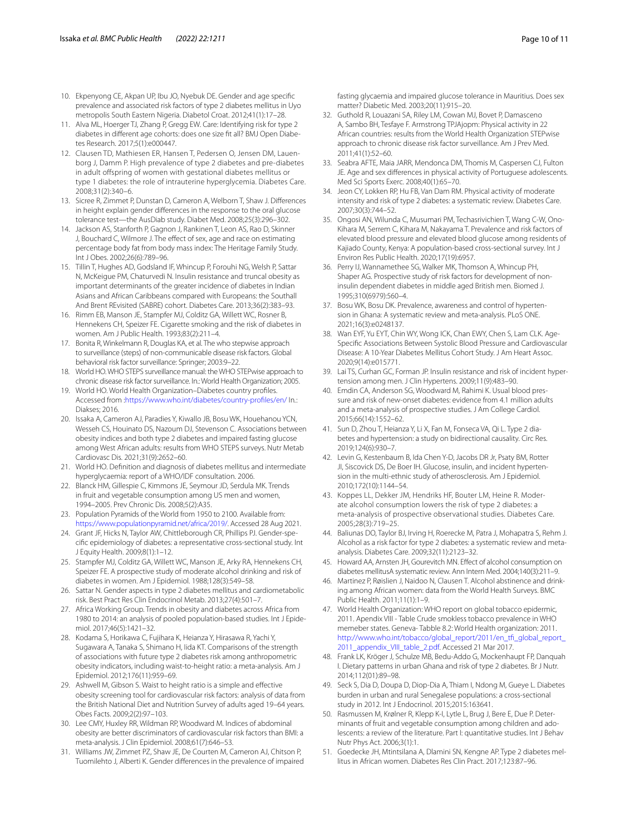- <span id="page-9-0"></span>10. Ekpenyong CE, Akpan UP, Ibu JO, Nyebuk DE. Gender and age specifc prevalence and associated risk factors of type 2 diabetes mellitus in Uyo metropolis South Eastern Nigeria. Diabetol Croat. 2012;41(1):17–28.
- <span id="page-9-1"></span>11. Alva ML, Hoerger TJ, Zhang P, Gregg EW. Care: Identifying risk for type 2 diabetes in diferent age cohorts: does one size ft all? BMJ Open Diabetes Research. 2017;5(1):e000447.
- <span id="page-9-2"></span>12. Clausen TD, Mathiesen ER, Hansen T, Pedersen O, Jensen DM, Lauenborg J, Damm P. High prevalence of type 2 diabetes and pre-diabetes in adult offspring of women with gestational diabetes mellitus or type 1 diabetes: the role of intrauterine hyperglycemia. Diabetes Care. 2008;31(2):340–6.
- <span id="page-9-3"></span>13. Sicree R, Zimmet P, Dunstan D, Cameron A, Welborn T, Shaw J. Diferences in height explain gender diferences in the response to the oral glucose tolerance test—the AusDiab study. Diabet Med. 2008;25(3):296–302.
- <span id="page-9-4"></span>14. Jackson AS, Stanforth P, Gagnon J, Rankinen T, Leon AS, Rao D, Skinner J, Bouchard C, Wilmore J. The effect of sex, age and race on estimating percentage body fat from body mass index: The Heritage Family Study. Int J Obes. 2002;26(6):789–96.
- <span id="page-9-5"></span>15. Tillin T, Hughes AD, Godsland IF, Whincup P, Forouhi NG, Welsh P, Sattar N, McKeigue PM, Chaturvedi N. Insulin resistance and truncal obesity as important determinants of the greater incidence of diabetes in Indian Asians and African Caribbeans compared with Europeans: the Southall And Brent REvisited (SABRE) cohort. Diabetes Care. 2013;36(2):383–93.
- <span id="page-9-6"></span>16. Rimm EB, Manson JE, Stampfer MJ, Colditz GA, Willett WC, Rosner B, Hennekens CH, Speizer FE. Cigarette smoking and the risk of diabetes in women. Am J Public Health. 1993;83(2):211–4.
- <span id="page-9-7"></span>17. Bonita R, Winkelmann R, Douglas KA, et al. The who stepwise approach to surveillance (steps) of non-communicable disease risk factors. Global behavioral risk factor surveillance: Springer; 2003:9–22.
- <span id="page-9-8"></span>18. World HO. WHO STEPS surveillance manual: the WHO STEPwise approach to chronic disease risk factor surveillance. In.: World Health Organization; 2005.
- <span id="page-9-9"></span>19. World HO. World Health Organization–Diabetes country profles. Accessed from [:https://www.who.int/diabetes/country-profles/en/](https://www.who.int/diabetes/country-profiles/en/) In*.*: Diakses; 2016.
- <span id="page-9-10"></span>20. Issaka A, Cameron AJ, Paradies Y, Kiwallo JB, Bosu WK, Houehanou YCN, Wesseh CS, Houinato DS, Nazoum DJ, Stevenson C. Associations between obesity indices and both type 2 diabetes and impaired fasting glucose among West African adults: results from WHO STEPS surveys. Nutr Metab Cardiovasc Dis. 2021;31(9):2652–60.
- <span id="page-9-11"></span>21. World HO. Defnition and diagnosis of diabetes mellitus and intermediate hyperglycaemia: report of a WHO/IDF consultation. 2006.
- <span id="page-9-12"></span>22. Blanck HM, Gillespie C, Kimmons JE, Seymour JD, Serdula MK. Trends in fruit and vegetable consumption among US men and women, 1994–2005. Prev Chronic Dis. 2008;5(2):A35.
- <span id="page-9-13"></span>23. Population Pyramids of the World from 1950 to 2100. Available from: <https://www.populationpyramid.net/africa/2019/>. Accessed 28 Aug 2021.
- <span id="page-9-14"></span>24. Grant JF, Hicks N, Taylor AW, Chittleborough CR, Phillips PJ. Gender-specifc epidemiology of diabetes: a representative cross-sectional study. Int J Equity Health. 2009;8(1):1–12.
- <span id="page-9-15"></span>25. Stampfer MJ, Colditz GA, Willett WC, Manson JE, Arky RA, Hennekens CH, Speizer FE. A prospective study of moderate alcohol drinking and risk of diabetes in women. Am J Epidemiol. 1988;128(3):549–58.
- <span id="page-9-16"></span>26. Sattar N. Gender aspects in type 2 diabetes mellitus and cardiometabolic risk. Best Pract Res Clin Endocrinol Metab. 2013;27(4):501–7.
- <span id="page-9-17"></span>27. Africa Working Group. Trends in obesity and diabetes across Africa from 1980 to 2014: an analysis of pooled population-based studies. Int J Epidemiol. 2017;46(5):1421–32.
- <span id="page-9-18"></span>28. Kodama S, Horikawa C, Fujihara K, Heianza Y, Hirasawa R, Yachi Y, Sugawara A, Tanaka S, Shimano H, Iida KT. Comparisons of the strength of associations with future type 2 diabetes risk among anthropometric obesity indicators, including waist-to-height ratio: a meta-analysis. Am J Epidemiol. 2012;176(11):959–69.
- <span id="page-9-19"></span>29. Ashwell M, Gibson S. Waist to height ratio is a simple and efective obesity screening tool for cardiovascular risk factors: analysis of data from the British National Diet and Nutrition Survey of adults aged 19–64 years. Obes Facts. 2009;2(2):97–103.
- <span id="page-9-20"></span>30. Lee CMY, Huxley RR, Wildman RP, Woodward M. Indices of abdominal obesity are better discriminators of cardiovascular risk factors than BMI: a meta-analysis. J Clin Epidemiol. 2008;61(7):646–53.
- <span id="page-9-21"></span>31. Williams JW, Zimmet PZ, Shaw JE, De Courten M, Cameron AJ, Chitson P, Tuomilehto J, Alberti K. Gender diferences in the prevalence of impaired

fasting glycaemia and impaired glucose tolerance in Mauritius. Does sex matter? Diabetic Med. 2003;20(11):915–20.

- <span id="page-9-22"></span>32. Guthold R, Louazani SA, Riley LM, Cowan MJ, Bovet P, Damasceno A, Sambo BH, Tesfaye F. Armstrong TPJAjopm: Physical activity in 22 African countries: results from the World Health Organization STEPwise approach to chronic disease risk factor surveillance. Am J Prev Med. 2011;41(1):52–60.
- <span id="page-9-23"></span>33. Seabra AFTE, Maia JARR, Mendonca DM, Thomis M, Caspersen CJ, Fulton JE. Age and sex diferences in physical activity of Portuguese adolescents. Med Sci Sports Exerc. 2008;40(1):65–70.
- <span id="page-9-24"></span>34. Jeon CY, Lokken RP, Hu FB, Van Dam RM. Physical activity of moderate intensity and risk of type 2 diabetes: a systematic review. Diabetes Care. 2007;30(3):744–52.
- <span id="page-9-25"></span>35. Ongosi AN, Wilunda C, Musumari PM, Techasrivichien T, Wang C-W, Ono-Kihara M, Serrem C, Kihara M, Nakayama T. Prevalence and risk factors of elevated blood pressure and elevated blood glucose among residents of Kajiado County, Kenya: A population-based cross-sectional survey. Int J Environ Res Public Health. 2020;17(19):6957.
- <span id="page-9-26"></span>36. Perry IJ, Wannamethee SG, Walker MK, Thomson A, Whincup PH, Shaper AG. Prospective study of risk factors for development of noninsulin dependent diabetes in middle aged British men. Biomed J. 1995;310(6979):560–4.
- <span id="page-9-27"></span>37. Bosu WK, Bosu DK. Prevalence, awareness and control of hypertension in Ghana: A systematic review and meta-analysis. PLoS ONE. 2021;16(3):e0248137.
- <span id="page-9-28"></span>38. Wan EYF, Yu EYT, Chin WY, Wong ICK, Chan EWY, Chen S, Lam CLK. Age-Specifc Associations Between Systolic Blood Pressure and Cardiovascular Disease: A 10-Year Diabetes Mellitus Cohort Study. J Am Heart Assoc. 2020;9(14):e015771.
- <span id="page-9-29"></span>39. Lai TS, Curhan GC, Forman JP. Insulin resistance and risk of incident hypertension among men. J Clin Hypertens. 2009;11(9):483–90.
- <span id="page-9-30"></span>40. Emdin CA, Anderson SG, Woodward M, Rahimi K. Usual blood pressure and risk of new-onset diabetes: evidence from 4.1 million adults and a meta-analysis of prospective studies. J Am College Cardiol. 2015;66(14):1552–62.
- <span id="page-9-31"></span>41. Sun D, Zhou T, Heianza Y, Li X, Fan M, Fonseca VA, Qi L. Type 2 diabetes and hypertension: a study on bidirectional causality. Circ Res. 2019;124(6):930–7.
- <span id="page-9-32"></span>42. Levin G, Kestenbaum B, Ida Chen Y-D, Jacobs DR Jr, Psaty BM, Rotter JI, Siscovick DS, De Boer IH. Glucose, insulin, and incident hypertension in the multi-ethnic study of atherosclerosis. Am J Epidemiol. 2010;172(10):1144–54.
- <span id="page-9-33"></span>43. Koppes LL, Dekker JM, Hendriks HF, Bouter LM, Heine R. Moderate alcohol consumption lowers the risk of type 2 diabetes: a meta-analysis of prospective observational studies. Diabetes Care. 2005;28(3):719–25.
- <span id="page-9-34"></span>44. Baliunas DO, Taylor BJ, Irving H, Roerecke M, Patra J, Mohapatra S, Rehm J. Alcohol as a risk factor for type 2 diabetes: a systematic review and metaanalysis. Diabetes Care. 2009;32(11):2123–32.
- <span id="page-9-35"></span>45. Howard AA, Arnsten JH, Gourevitch MN. Efect of alcohol consumption on diabetes mellitusA systematic review. Ann Intern Med. 2004;140(3):211–9.
- <span id="page-9-36"></span>46. Martinez P, Røislien J, Naidoo N, Clausen T. Alcohol abstinence and drinking among African women: data from the World Health Surveys. BMC Public Health. 2011;11(1):1–9.
- <span id="page-9-37"></span>47. World Health Organization: WHO report on global tobacco epidermic, 2011. Apendix VIII - Table Crude smokless tobacco prevalence in WHO memeber states. Geneva- Tabble 8.2: World Health organization: 2011. http://www.who.int/tobacco/global\_report/2011/en\_tfi\_global\_report\_ [2011\\_appendix\\_VIII\\_table\\_2.pdf](http://www.who.int/tobacco/global_report/2011/en_tfi_global_report_2011_appendix_VIII_table_2.pdf). Accessed 21 Mar 2017.
- <span id="page-9-38"></span>48. Frank LK, Kröger J, Schulze MB, Bedu-Addo G, Mockenhaupt FP, Danquah I. Dietary patterns in urban Ghana and risk of type 2 diabetes. Br J Nutr. 2014;112(01):89–98.
- <span id="page-9-39"></span>49. Seck S, Dia D, Doupa D, Diop-Dia A, Thiam I, Ndong M, Gueye L. Diabetes burden in urban and rural Senegalese populations: a cross-sectional study in 2012. Int J Endocrinol. 2015;2015:163641.
- <span id="page-9-40"></span>50. Rasmussen M, Krølner R, Klepp K-I, Lytle L, Brug J, Bere E, Due P. Determinants of fruit and vegetable consumption among children and adolescents: a review of the literature. Part I: quantitative studies. Int J Behav Nutr Phys Act. 2006;3(1):1.
- <span id="page-9-41"></span>51. Goedecke JH, Mtintsilana A, Dlamini SN, Kengne AP. Type 2 diabetes mellitus in African women. Diabetes Res Clin Pract. 2017;123:87–96.